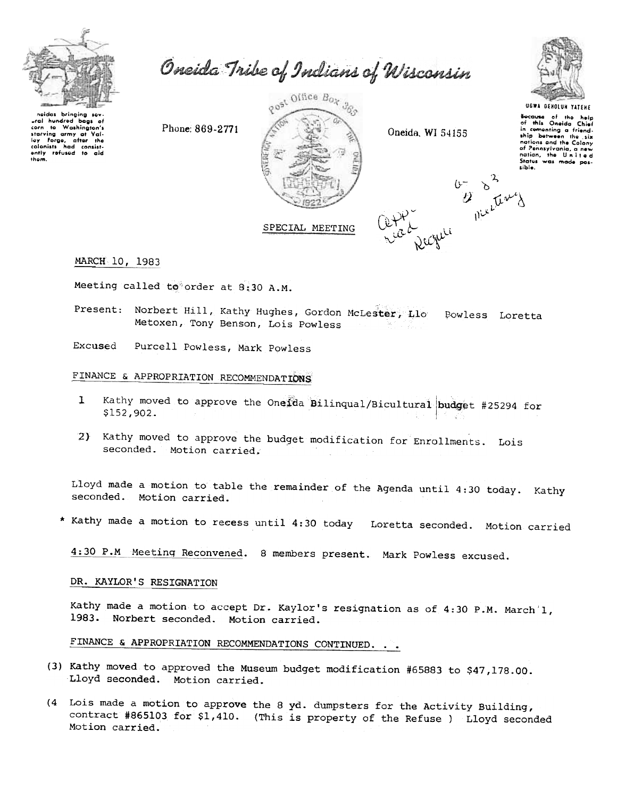

Oneida Tribe of Indians of Wisconsin

neidas bringing sevural hundred baas of corn to Washington's starving army at Val-<br>ley Forge, after the lay Forge, after the colonists had consistthem.

Phone: 869-2771



Oneida, WI 54155

ile Dicetar



**UGWA BENOLUN YATENE** Socause of the help<br>of this Oneida Chief friendin comenting a ship between the six nations and the Colony nunions and the Colony<br>of Pennsylvania, a new<br>nation, the United<br>States was mode possible.

SPECIAL MEETING

### MARCH 10, 1983

Meeting called to order at 8:30 A.M.

- Present: Norbert Hill, Kathy Hughes, Gordon McLester, Llo Powless Loretta Metoxen, Tony Benson, Lois Powless
- Excused Purcell Powless, Mark Powless

## FINANCE & APPROPRIATION RECOMMENDATIONS

- Kathy moved to approve the Onelda Bilinqual/Bicultural budget #25294 for  $\mathbf{I}$ \$152,902.
- 2) Kathy moved to approve the budget modification for Enrollments. Lois seconded. Motion carried.

Lloyd made a motion to table the remainder of the Agenda until 4:30 today. Kathy seconded. Motion carried.

\* Kathy made a motion to recess until 4:30 today Loretta seconded. Motion carried

4:30 P.M Meeting Reconvened. 8 members present. Mark Powless excused.

### DR. KAYLOR'S RESIGNATION

Kathy made a motion to accept Dr. Kaylor's resignation as of 4:30 P.M. March'l, 1983. Norbert seconded. Motion carried.

# FINANCE & APPROPRIATION RECOMMENDATIONS CONTINUED. . .

- (3) Kathy moved to approved the Museum budget modification #65883 to \$47,178.00. Lloyd seconded. Motion carried.
- (4 Lois made a motion to approve the 8 yd. dumpsters for the Activity Building, contract #865103 for \$1,410. (This is property of the Refuse ) Lloyd seconded Motion carried.